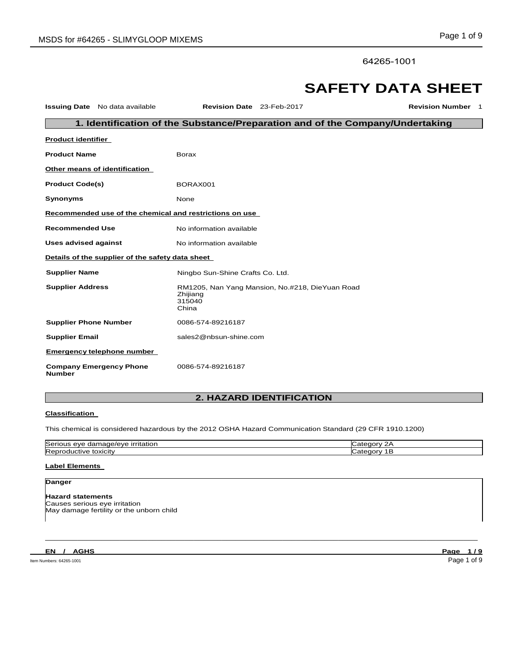64265-1001

# **SAFETY DATA SHEET**

| <b>Issuing Date</b> No data available           | Revision Date 23-Feb-2017                                                      | <b>Revision Number 1</b>                                                      |  |  |  |  |
|-------------------------------------------------|--------------------------------------------------------------------------------|-------------------------------------------------------------------------------|--|--|--|--|
|                                                 |                                                                                | 1. Identification of the Substance/Preparation and of the Company/Undertaking |  |  |  |  |
| <b>Product identifier</b>                       |                                                                                |                                                                               |  |  |  |  |
| <b>Product Name</b>                             | <b>Borax</b>                                                                   |                                                                               |  |  |  |  |
| Other means of identification                   |                                                                                |                                                                               |  |  |  |  |
| <b>Product Code(s)</b>                          | BORAX001                                                                       |                                                                               |  |  |  |  |
| Synonyms                                        | None                                                                           |                                                                               |  |  |  |  |
|                                                 | Recommended use of the chemical and restrictions on use                        |                                                                               |  |  |  |  |
| <b>Recommended Use</b>                          | No information available                                                       |                                                                               |  |  |  |  |
| Uses advised against                            | No information available                                                       |                                                                               |  |  |  |  |
|                                                 | Details of the supplier of the safety data sheet                               |                                                                               |  |  |  |  |
| <b>Supplier Name</b>                            | Ningbo Sun-Shine Crafts Co. Ltd.                                               |                                                                               |  |  |  |  |
| <b>Supplier Address</b>                         | RM1205, Nan Yang Mansion, No.#218, DieYuan Road<br>Zhijiang<br>315040<br>China |                                                                               |  |  |  |  |
| <b>Supplier Phone Number</b>                    | 0086-574-89216187                                                              |                                                                               |  |  |  |  |
| <b>Supplier Email</b>                           | sales2@nbsun-shine.com                                                         |                                                                               |  |  |  |  |
| <b>Emergency telephone number</b>               |                                                                                |                                                                               |  |  |  |  |
| <b>Company Emergency Phone</b><br><b>Number</b> | 0086-574-89216187                                                              |                                                                               |  |  |  |  |

# **2. HAZARD IDENTIFICATION**

# **Classification**

This chemical is considered hazardous by the 2012 OSHA Hazard Communication Standard (29 CFR 1910.1200)

| ∽<br>urritation<br>-----<br>lSer<br>titation.<br>aar<br>eve<br><b>PIPVE</b><br><br>Пd<br>ື | ., |
|--------------------------------------------------------------------------------------------|----|
| toxicity<br>. tive<br>l Rer<br>זו<br>11                                                    |    |

 $\Box$  . The contribution of the contribution of the contribution of the contribution of the contribution of the contribution of the contribution of the contribution of the contribution of the contribution of the contributi

# **Label Elements**

# **Danger**

**Hazard statements** Causes serious eye irritation May damage fertility or the unborn child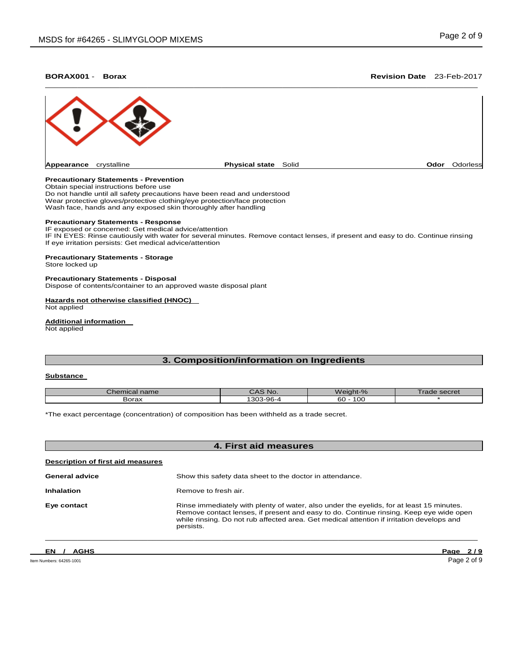# **BORAX001** - **Borax Revision Date** 23-Feb-2017



# **Precautionary Statements - Prevention**

Obtain special instructions before use Do not handle until all safety precautions have been read and understood Wear protective gloves/protective clothing/eye protection/face protection Wash face, hands and any exposed skin thoroughly after handling

#### **Precautionary Statements - Response**

IF exposed or concerned: Get medical advice/attention IF IN EYES: Rinse cautiously with water for several minutes. Remove contact lenses, if present and easy to do. Continue rinsing If eye irritation persists: Get medical advice/attention

# **Precautionary Statements - Storage**

Store locked up

### **Precautionary Statements - Disposal**

Dispose of contents/container to an approved waste disposal plant

# **Hazards not otherwise classified (HNOC)**

Not applied

# **Additional information**

Not applied

# **3. Composition/information on Ingredients**

# **Substance**

| Chemical name | ~AS No.   | Weight-%  | Trade secret |
|---------------|-----------|-----------|--------------|
| Borax         | 1303-96-4 | 60<br>10C |              |

\*The exact percentage (concentration) of composition has been withheld as a trade secret.

| 4. First aid measures             |                                                                                                                                                                                                                                                                                              |  |  |
|-----------------------------------|----------------------------------------------------------------------------------------------------------------------------------------------------------------------------------------------------------------------------------------------------------------------------------------------|--|--|
| Description of first aid measures |                                                                                                                                                                                                                                                                                              |  |  |
| <b>General advice</b>             | Show this safety data sheet to the doctor in attendance.                                                                                                                                                                                                                                     |  |  |
| <b>Inhalation</b>                 | Remove to fresh air.                                                                                                                                                                                                                                                                         |  |  |
| Eye contact                       | Rinse immediately with plenty of water, also under the eyelids, for at least 15 minutes.<br>Remove contact lenses, if present and easy to do. Continue rinsing. Keep eye wide open<br>while rinsing. Do not rub affected area. Get medical attention if irritation develops and<br>persists. |  |  |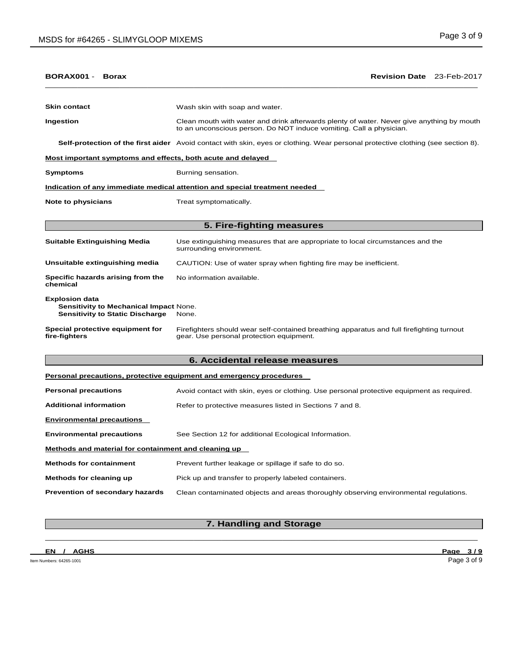| BORAX001 -<br><b>Borax</b>                                                                         | Revision Date 23-Feb-2017                                                                                                                                        |  |  |  |  |
|----------------------------------------------------------------------------------------------------|------------------------------------------------------------------------------------------------------------------------------------------------------------------|--|--|--|--|
|                                                                                                    |                                                                                                                                                                  |  |  |  |  |
| <b>Skin contact</b>                                                                                | Wash skin with soap and water.                                                                                                                                   |  |  |  |  |
| Ingestion                                                                                          | Clean mouth with water and drink afterwards plenty of water. Never give anything by mouth<br>to an unconscious person. Do NOT induce vomiting. Call a physician. |  |  |  |  |
|                                                                                                    | Self-protection of the first aider Avoid contact with skin, eyes or clothing. Wear personal protective clothing (see section 8).                                 |  |  |  |  |
| Most important symptoms and effects, both acute and delayed                                        |                                                                                                                                                                  |  |  |  |  |
| Symptoms                                                                                           | Burning sensation.                                                                                                                                               |  |  |  |  |
|                                                                                                    | Indication of any immediate medical attention and special treatment needed                                                                                       |  |  |  |  |
| <b>Note to physicians</b>                                                                          | Treat symptomatically.                                                                                                                                           |  |  |  |  |
|                                                                                                    |                                                                                                                                                                  |  |  |  |  |
|                                                                                                    | 5. Fire-fighting measures                                                                                                                                        |  |  |  |  |
| Suitable Extinguishing Media                                                                       | Use extinguishing measures that are appropriate to local circumstances and the<br>surrounding environment.                                                       |  |  |  |  |
| Unsuitable extinguishing media                                                                     | CAUTION: Use of water spray when fighting fire may be inefficient.                                                                                               |  |  |  |  |
| Specific hazards arising from the<br>chemical                                                      | No information available.                                                                                                                                        |  |  |  |  |
| Explosion data<br>Sensitivity to Mechanical Impact None.<br><b>Sensitivity to Static Discharge</b> | None.                                                                                                                                                            |  |  |  |  |
| Special protective equipment for<br>fire-fighters                                                  | Firefighters should wear self-contained breathing apparatus and full firefighting turnout<br>gear. Use personal protection equipment.                            |  |  |  |  |
|                                                                                                    | 6. Accidental release measures                                                                                                                                   |  |  |  |  |
|                                                                                                    | Personal precautions, protective equipment and emergency procedures                                                                                              |  |  |  |  |
| <b>Personal precautions</b>                                                                        | Avoid contact with skin, eyes or clothing. Use personal protective equipment as required.                                                                        |  |  |  |  |
| <b>Additional information</b>                                                                      | Refer to protective measures listed in Sections 7 and 8.                                                                                                         |  |  |  |  |
| <b>Environmental precautions</b>                                                                   |                                                                                                                                                                  |  |  |  |  |
| <b>Environmental precautions</b>                                                                   | See Section 12 for additional Ecological Information.                                                                                                            |  |  |  |  |
| Methods and material for containment and cleaning up                                               |                                                                                                                                                                  |  |  |  |  |
| <b>Methods for containment</b>                                                                     | Prevent further leakage or spillage if safe to do so.                                                                                                            |  |  |  |  |
| <b>Methods for cleaning up</b>                                                                     | Pick up and transfer to properly labeled containers.                                                                                                             |  |  |  |  |
| Prevention of secondary hazards                                                                    | Clean contaminated objects and areas thoroughly observing environmental regulations.                                                                             |  |  |  |  |
|                                                                                                    |                                                                                                                                                                  |  |  |  |  |

# $\Box$  . The contribution of the contribution of the contribution of the contribution of the contribution of the contribution of the contribution of the contribution of the contribution of the contribution of the contributi **7. Handling and Storage**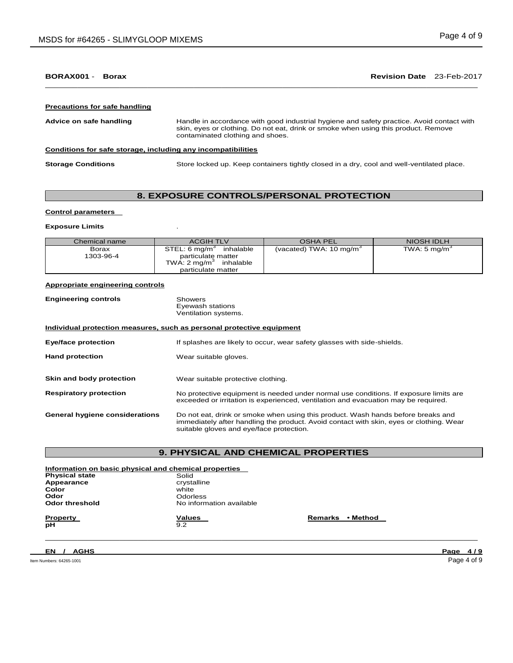# **BORAX001** - **Borax Revision Date** 23-Feb-2017

 $\Box$  . The contribution of the contribution of the contribution of the contribution of the contribution of the contribution of the contribution of the contribution of the contribution of the contribution of the contributi

#### **Precautions for safe handling**

**Advice on safe handling** Handle in accordance with good industrial hygiene and safety practice. Avoid contact with skin, eyes or clothing. Do not eat, drink or smoke when using this product. Remove contaminated clothing and shoes. **Conditions for safe storage, including any incompatibilities Storage Conditions** Store locked up. Keep containers tightly closed in a dry, cool and well-ventilated place.

# **8. EXPOSURE CONTROLS/PERSONAL PROTECTION**

### **Control parameters**

#### **Exposure Limits** .

| Chemical name      | <b>ACGIH TLV</b>                                                                                                        | <b>OSHA PEL</b>                    | NIOSH IDLH               |
|--------------------|-------------------------------------------------------------------------------------------------------------------------|------------------------------------|--------------------------|
| Borax<br>1303-96-4 | STEL: 6 mg/m <sup>3</sup><br>inhalable<br>particulate matter<br>TWA: $2 \text{ mg/m}^3$ inhalable<br>particulate matter | (vacated) TWA: $10 \text{ mg/m}^3$ | TWA: 5 mg/m <sup>3</sup> |

### **Appropriate engineering controls**

| <b>Engineering controls</b> | Showers              |  |
|-----------------------------|----------------------|--|
|                             | Eyewash stations     |  |
|                             | Ventilation systems. |  |

# **Individual protection measures, such as personal protective equipment**

**Eye/face protection** If splashes are likely to occur, wear safety glasses with side-shields. Hand protection **Wear suitable gloves**. **Skin and body protection** Wear suitable protective clothing. **Respiratory protection** No protective equipment is needed under normal use conditions. If exposure limits are exceeded or irritation is experienced, ventilation and evacuation may be required. **General hygiene considerations** Do not eat, drink or smoke when using this product. Wash hands before breaks and immediately after handling the product. Avoid contact with skin, eyes or clothing. Wear suitable gloves and eye/face protection.

# **9. PHYSICAL AND CHEMICAL PROPERTIES**

 $\Box$  . The contribution of the contribution of the contribution of the contribution of the contribution of the contribution of the contribution of the contribution of the contribution of the contribution of the contributi

| Information on basic physical and chemical properties |                          |                     |  |  |
|-------------------------------------------------------|--------------------------|---------------------|--|--|
| <b>Physical state</b>                                 | Solid                    |                     |  |  |
| Appearance                                            | crystalline              |                     |  |  |
| Color                                                 | white                    |                     |  |  |
| Odor                                                  | Odorless                 |                     |  |  |
| Odor threshold                                        | No information available |                     |  |  |
| <b>Property</b>                                       | Values                   | • Method<br>Remarks |  |  |
| рH                                                    | 9.2                      |                     |  |  |

**EN / AGHS Page 4 / 9** 

Item Numbers: 64265-1001 Page 4 of 9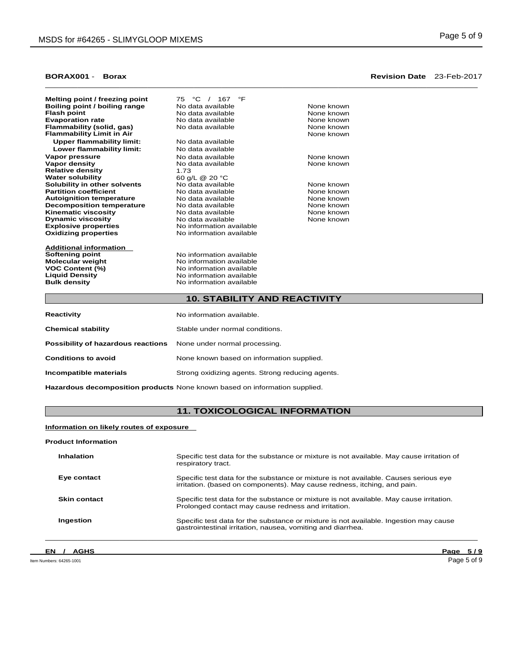| 75 °C / 167 °F           |                                                                                  |
|--------------------------|----------------------------------------------------------------------------------|
| No data available        | None known                                                                       |
| No data available        | None known                                                                       |
| No data available        | None known                                                                       |
| No data available        | None known                                                                       |
|                          | None known                                                                       |
| No data available        |                                                                                  |
| No data available        |                                                                                  |
| No data available        | None known                                                                       |
| No data available        | None known                                                                       |
| 1.73                     |                                                                                  |
| 60 g/L @ 20 °C           |                                                                                  |
| No data available        | None known                                                                       |
| No data available        | None known                                                                       |
| No data available        | None known                                                                       |
| No data available        | None known                                                                       |
| No data available        | None known                                                                       |
| No data available        | None known                                                                       |
| No information available |                                                                                  |
| No information available |                                                                                  |
|                          |                                                                                  |
|                          |                                                                                  |
|                          |                                                                                  |
|                          |                                                                                  |
| No information available |                                                                                  |
|                          | No information available<br>No information available<br>No information available |

# **10. STABILITY AND REACTIVITY**

| Reactivity                         | No information available.                        |  |
|------------------------------------|--------------------------------------------------|--|
| <b>Chemical stability</b>          | Stable under normal conditions.                  |  |
| Possibility of hazardous reactions | None under normal processing.                    |  |
| <b>Conditions to avoid</b>         | None known based on information supplied.        |  |
| Incompatible materials             | Strong oxidizing agents. Strong reducing agents. |  |
|                                    |                                                  |  |

**No information available** 

**Liquid Density No information available**<br> **Bulk density No information available** 

**Hazardous decomposition products** None known based on information supplied.

# **11. TOXICOLOGICAL INFORMATION**

# **Information on likely routes of exposure**

### **Product Information**

| Inhalation          | Specific test data for the substance or mixture is not available. May cause irritation of<br>respiratory tract.                                                  |
|---------------------|------------------------------------------------------------------------------------------------------------------------------------------------------------------|
| Eve contact         | Specific test data for the substance or mixture is not available. Causes serious eye<br>irritation. (based on components). May cause redness, itching, and pain. |
| <b>Skin contact</b> | Specific test data for the substance or mixture is not available. May cause irritation.<br>Prolonged contact may cause redness and irritation.                   |
| Ingestion           | Specific test data for the substance or mixture is not available. Ingestion may cause<br>gastrointestinal irritation, nausea, vomiting and diarrhea.             |

# **EN / AGHS Page 5 / 9**

# **BORAX001** - **Borax Revision Date** 23-Feb-2017  $\Box$  . The contribution of the contribution of the contribution of the contribution of the contribution of the contribution of the contribution of the contribution of the contribution of the contribution of the contributi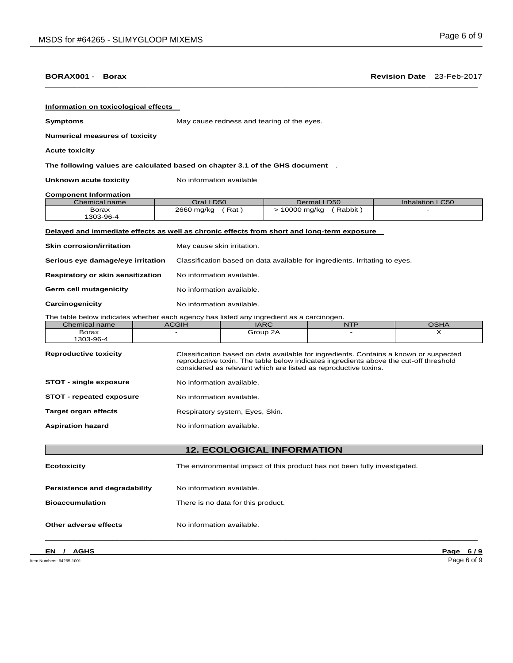| Information on toxicological effects                                                       |                                                                             |                                            |                        |                                                                                                                                                                                |  |
|--------------------------------------------------------------------------------------------|-----------------------------------------------------------------------------|--------------------------------------------|------------------------|--------------------------------------------------------------------------------------------------------------------------------------------------------------------------------|--|
| <b>Symptoms</b>                                                                            |                                                                             | May cause redness and tearing of the eyes. |                        |                                                                                                                                                                                |  |
| <b>Numerical measures of toxicity</b>                                                      |                                                                             |                                            |                        |                                                                                                                                                                                |  |
| <b>Acute toxicity</b>                                                                      |                                                                             |                                            |                        |                                                                                                                                                                                |  |
| The following values are calculated based on chapter 3.1 of the GHS document .             |                                                                             |                                            |                        |                                                                                                                                                                                |  |
| Unknown acute toxicity                                                                     | No information available                                                    |                                            |                        |                                                                                                                                                                                |  |
| <b>Component Information</b>                                                               |                                                                             |                                            |                        |                                                                                                                                                                                |  |
| Chemical name                                                                              | Oral LD50                                                                   |                                            | Dermal LD50            | <b>Inhalation LC50</b>                                                                                                                                                         |  |
| <b>Borax</b><br>1303-96-4                                                                  | 2660 mg/kg (Rat)                                                            |                                            | > 10000 mg/kg (Rabbit) |                                                                                                                                                                                |  |
| Delayed and immediate effects as well as chronic effects from short and long-term exposure |                                                                             |                                            |                        |                                                                                                                                                                                |  |
| <b>Skin corrosion/irritation</b>                                                           | May cause skin irritation.                                                  |                                            |                        |                                                                                                                                                                                |  |
| Serious eye damage/eye irritation                                                          | Classification based on data available for ingredients. Irritating to eyes. |                                            |                        |                                                                                                                                                                                |  |
| <b>Respiratory or skin sensitization</b>                                                   | No information available.                                                   |                                            |                        |                                                                                                                                                                                |  |
| Germ cell mutagenicity                                                                     | No information available.                                                   |                                            |                        |                                                                                                                                                                                |  |
| Carcinogenicity                                                                            | No information available.                                                   |                                            |                        |                                                                                                                                                                                |  |
| The table below indicates whether each agency has listed any ingredient as a carcinogen.   |                                                                             |                                            |                        |                                                                                                                                                                                |  |
| Chemical name                                                                              | <b>ACGIH</b>                                                                | <b>IARC</b>                                | <b>NTP</b>             | <b>OSHA</b>                                                                                                                                                                    |  |
| <b>Borax</b><br>1303-96-4                                                                  |                                                                             | Group 2A                                   |                        | X                                                                                                                                                                              |  |
| <b>Reproductive toxicity</b>                                                               | considered as relevant which are listed as reproductive toxins.             |                                            |                        | Classification based on data available for ingredients. Contains a known or suspected<br>reproductive toxin. The table below indicates ingredients above the cut-off threshold |  |
| <b>STOT - single exposure</b>                                                              | No information available.                                                   |                                            |                        |                                                                                                                                                                                |  |
| <b>STOT</b> - repeated exposure                                                            | No information available.                                                   |                                            |                        |                                                                                                                                                                                |  |
| <b>Target organ effects</b>                                                                |                                                                             | Respiratory system, Eyes, Skin.            |                        |                                                                                                                                                                                |  |
| <b>Aspiration hazard</b>                                                                   |                                                                             | No information available.                  |                        |                                                                                                                                                                                |  |
|                                                                                            | <b>12. ECOLOGICAL INFORMATION</b>                                           |                                            |                        |                                                                                                                                                                                |  |
|                                                                                            | The environmental impact of this product has not been fully investigated.   |                                            |                        |                                                                                                                                                                                |  |
| <b>Ecotoxicity</b>                                                                         |                                                                             |                                            |                        |                                                                                                                                                                                |  |
| <b>Persistence and degradability</b>                                                       | No information available.                                                   |                                            |                        |                                                                                                                                                                                |  |
| <b>Bioaccumulation</b><br>There is no data for this product.                               |                                                                             |                                            |                        |                                                                                                                                                                                |  |

 $\Box$  . The contribution of the contribution of the contribution of the contribution of the contribution of the contribution of the contribution of the contribution of the contribution of the contribution of the contributi

**Other adverse effects** No information available.

Item Numbers: 64265-1001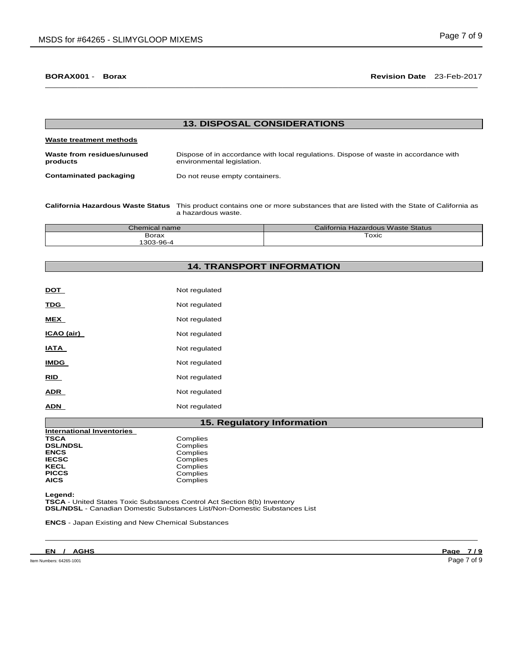# **BORAX001** - **Borax Revision Date** 23-Feb-2017  $\Box$  . The contribution of the contribution of the contribution of the contribution of the contribution of the contribution of the contribution of the contribution of the contribution of the contribution of the contributi

| <b>13. DISPOSAL CONSIDERATIONS</b>     |                                                                                                                    |  |  |  |
|----------------------------------------|--------------------------------------------------------------------------------------------------------------------|--|--|--|
| Waste treatment methods                |                                                                                                                    |  |  |  |
| Waste from residues/unused<br>products | Dispose of in accordance with local regulations. Dispose of waste in accordance with<br>environmental legislation. |  |  |  |
| <b>Contaminated packaging</b>          | Do not reuse empty containers.                                                                                     |  |  |  |
|                                        |                                                                                                                    |  |  |  |

**California Hazardous Waste Status** This product contains one or more substances that are listed with the State of California as a hazardous waste.

| $\mathcal L$ hemical name | California Hazardous Waste Status |  |  |
|---------------------------|-----------------------------------|--|--|
| Borax                     | Toxic                             |  |  |
| 303-96-4                  |                                   |  |  |

# **14. TRANSPORT INFORMATION**

| DOT         | Not regulated |
|-------------|---------------|
| TDG         | Not regulated |
| MEX         | Not regulated |
| ICAO (air)  | Not regulated |
| IATA        | Not regulated |
| <b>IMDG</b> | Not regulated |
| RID         | Not regulated |
| ADR         | Not regulated |
| ADN         | Not regulated |

# **15. Regulatory Information**

 $\Box$  . The contribution of the contribution of the contribution of the contribution of the contribution of the contribution of the contribution of the contribution of the contribution of the contribution of the contributi

| <b>International Inventories</b> |          |
|----------------------------------|----------|
| TSCA                             | Complies |
| <b>DSL/NDSL</b>                  | Complies |
| ENCS                             | Complies |
| IECSC                            | Complies |
| KECL                             | Complies |
| <b>PICCS</b>                     | Complies |
| AICS                             | Complies |
|                                  |          |

**Legend:** 

**TSCA** - United States Toxic Substances Control Act Section 8(b) Inventory **DSL/NDSL** - Canadian Domestic Substances List/Non-Domestic Substances List

**ENCS** - Japan Existing and New Chemical Substances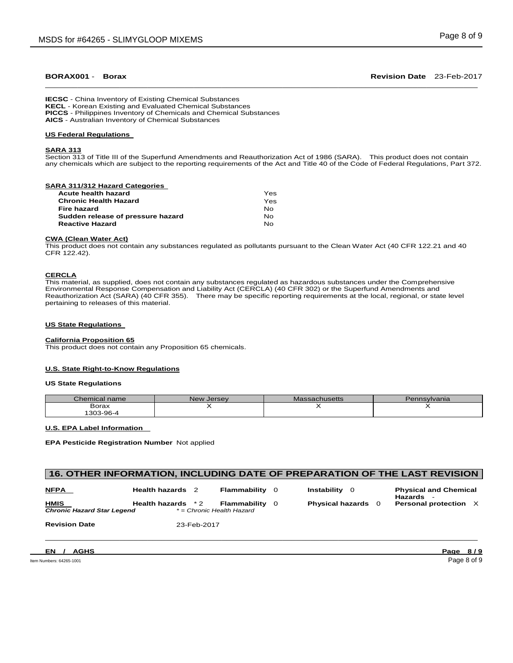# **BORAX001** - **Borax Revision Date** 23-Feb-2017  $\Box$  . The contribution of the contribution of the contribution of the contribution of the contribution of the contribution of the contribution of the contribution of the contribution of the contribution of the contributi

**IECSC** - China Inventory of Existing Chemical Substances **KECL** - Korean Existing and Evaluated Chemical Substances **PICCS** - Philippines Inventory of Chemicals and Chemical Substances **AICS** - Australian Inventory of Chemical Substances

# **US Federal Regulations**

#### **SARA 313**

Section 313 of Title III of the Superfund Amendments and Reauthorization Act of 1986 (SARA). This product does not contain any chemicals which are subject to the reporting requirements of the Act and Title 40 of the Code of Federal Regulations, Part 372.

#### **SARA 311/312 Hazard Categories**

| Acute health hazard               | Yes |
|-----------------------------------|-----|
| Chronic Health Hazard             | Yes |
| Fire hazard                       | Nο  |
| Sudden release of pressure hazard | Nο  |
| Reactive Hazard                   | Nο  |
|                                   |     |

# **CWA (Clean Water Act)**

This product does not contain any substances regulated as pollutants pursuant to the Clean Water Act (40 CFR 122.21 and 40 CFR 122.42).

# **CERCLA**

This material, as supplied, does not contain any substances regulated as hazardous substances under the Comprehensive Environmental Response Compensation and Liability Act (CERCLA) (40 CFR 302) or the Superfund Amendments and Reauthorization Act (SARA) (40 CFR 355). There may be specific reporting requirements at the local, regional, or state level pertaining to releases of this material.

#### **US State Regulations**

### **California Proposition 65**

This product does not contain any Proposition 65 chemicals.

# **U.S. State Right-to-Know Regulations**

#### **US State Regulations**

| Chemical name | New Jersey | <b>Massachusetts</b> | Pennsylvania |
|---------------|------------|----------------------|--------------|
| Borax         |            |                      |              |
| \$303-96-4    |            |                      |              |

### **U.S. EPA Label Information**

**EPA Pesticide Registration Number** Not applied

# **16. OTHER INFORMATION, INCLUDING DATE OF PREPARATION OF THE LAST REVISION**

| <u>NFPA</u>                                      | <b>Health hazards</b> | <b>Flammability</b> 0                              | Instability 0           | <b>Physical and Chemical</b><br>Hazards |
|--------------------------------------------------|-----------------------|----------------------------------------------------|-------------------------|-----------------------------------------|
| <b>HMIS</b><br><b>Chronic Hazard Star Legend</b> | <b>Health hazards</b> | <b>Flammability</b> 0<br>* = Chronic Health Hazard | <b>Physical hazards</b> | Personal protection X                   |

 $\Box$  . The contribution of the contribution of the contribution of the contribution of the contribution of the contribution of the contribution of the contribution of the contribution of the contribution of the contributi

**Revision Date** 23-Feb-2017

**EN / AGHS Page 8 / 9** 

Item Numbers: 64265-1001 Page 8 of 9